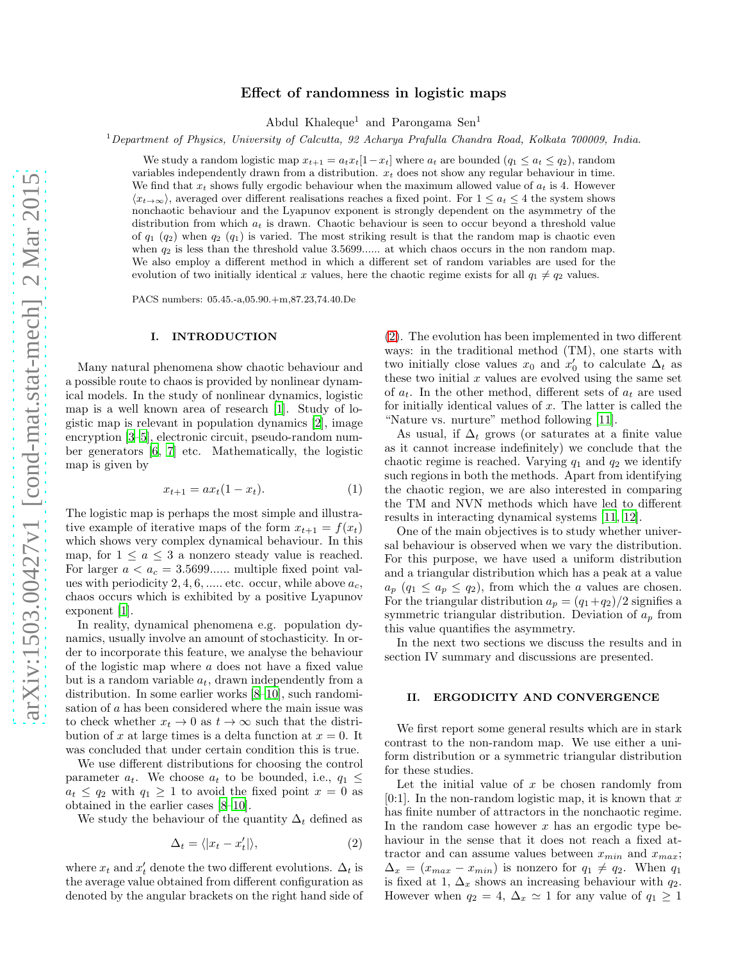# Effect of randomness in logistic maps

Abdul Khaleque<sup>1</sup> and Parongama Sen<sup>1</sup>

<sup>1</sup>*Department of Physics, University of Calcutta, 92 Acharya Prafulla Chandra Road, Kolkata 700009, India.*

We study a random logistic map  $x_{t+1} = a_t x_t [1 - x_t]$  where  $a_t$  are bounded  $(q_1 \le a_t \le q_2)$ , random variables independently drawn from a distribution.  $x_t$  does not show any regular behaviour in time. We find that  $x_t$  shows fully ergodic behaviour when the maximum allowed value of  $a_t$  is 4. However  $\langle x_{t\to\infty}\rangle$ , averaged over different realisations reaches a fixed point. For  $1 \le a_t \le 4$  the system shows nonchaotic behaviour and the Lyapunov exponent is strongly dependent on the asymmetry of the distribution from which  $a_t$  is drawn. Chaotic behaviour is seen to occur beyond a threshold value of  $q_1$  ( $q_2$ ) when  $q_2$  ( $q_1$ ) is varied. The most striking result is that the random map is chaotic even when  $q_2$  is less than the threshold value 3.5699...... at which chaos occurs in the non random map. We also employ a different method in which a different set of random variables are used for the evolution of two initially identical x values, here the chaotic regime exists for all  $q_1 \neq q_2$  values.

PACS numbers: 05.45.-a,05.90.+m,87.23,74.40.De

### I. INTRODUCTION

Many natural phenomena show chaotic behaviour and a possible route to chaos is provided by nonlinear dynamical models. In the study of nonlinear dynamics, logistic map is a well known area of research [\[1\]](#page-4-0). Study of logistic map is relevant in population dynamics [\[2\]](#page-4-1), image encryption [\[3](#page-4-2)[–5\]](#page-4-3), electronic circuit, pseudo-random number generators [\[6](#page-4-4), [7\]](#page-4-5) etc. Mathematically, the logistic map is given by

<span id="page-0-1"></span>
$$
x_{t+1} = ax_t(1 - x_t). \tag{1}
$$

The logistic map is perhaps the most simple and illustrative example of iterative maps of the form  $x_{t+1} = f(x_t)$ which shows very complex dynamical behaviour. In this map, for  $1 \le a \le 3$  a nonzero steady value is reached. For larger  $a < a_c = 3.5699...$  multiple fixed point values with periodicity 2, 4, 6, ..... etc. occur, while above  $a_c$ , chaos occurs which is exhibited by a positive Lyapunov exponent [\[1\]](#page-4-0).

In reality, dynamical phenomena e.g. population dynamics, usually involve an amount of stochasticity. In order to incorporate this feature, we analyse the behaviour of the logistic map where a does not have a fixed value but is a random variable  $a_t$ , drawn independently from a distribution. In some earlier works [\[8](#page-4-6)[–10](#page-4-7)], such randomisation of a has been considered where the main issue was to check whether  $x_t \to 0$  as  $t \to \infty$  such that the distribution of x at large times is a delta function at  $x = 0$ . It was concluded that under certain condition this is true.

We use different distributions for choosing the control parameter  $a_t$ . We choose  $a_t$  to be bounded, i.e.,  $q_1 \leq$  $a_t \leq q_2$  with  $q_1 \geq 1$  to avoid the fixed point  $x = 0$  as obtained in the earlier cases [\[8](#page-4-6)[–10\]](#page-4-7).

We study the behaviour of the quantity  $\Delta_t$  defined as

<span id="page-0-0"></span>
$$
\Delta_t = \langle |x_t - x'_t| \rangle,\tag{2}
$$

where  $x_t$  and  $x'_t$  denote the two different evolutions.  $\Delta_t$  is the average value obtained from different configuration as denoted by the angular brackets on the right hand side of

[\(2\)](#page-0-0). The evolution has been implemented in two different ways: in the traditional method (TM), one starts with two initially close values  $x_0$  and  $x'_0$  to calculate  $\Delta_t$  as these two initial  $x$  values are evolved using the same set of  $a_t$ . In the other method, different sets of  $a_t$  are used for initially identical values of  $x$ . The latter is called the "Nature vs. nurture" method following [\[11\]](#page-4-8).

As usual, if  $\Delta_t$  grows (or saturates at a finite value as it cannot increase indefinitely) we conclude that the chaotic regime is reached. Varying  $q_1$  and  $q_2$  we identify such regions in both the methods. Apart from identifying the chaotic region, we are also interested in comparing the TM and NVN methods which have led to different results in interacting dynamical systems [\[11](#page-4-8), [12](#page-4-9)].

One of the main objectives is to study whether universal behaviour is observed when we vary the distribution. For this purpose, we have used a uniform distribution and a triangular distribution which has a peak at a value  $a_p$   $(q_1 \leq a_p \leq q_2)$ , from which the *a* values are chosen. For the triangular distribution  $a_p = (q_1+q_2)/2$  signifies a symmetric triangular distribution. Deviation of  $a_p$  from this value quantifies the asymmetry.

In the next two sections we discuss the results and in section IV summary and discussions are presented.

### II. ERGODICITY AND CONVERGENCE

We first report some general results which are in stark contrast to the non-random map. We use either a uniform distribution or a symmetric triangular distribution for these studies.

Let the initial value of  $x$  be chosen randomly from [0:1]. In the non-random logistic map, it is known that  $x$ has finite number of attractors in the nonchaotic regime. In the random case however  $x$  has an ergodic type behaviour in the sense that it does not reach a fixed attractor and can assume values between  $x_{min}$  and  $x_{max}$ ;  $\Delta_x = (x_{max} - x_{min})$  is nonzero for  $q_1 \neq q_2$ . When  $q_1$ is fixed at 1,  $\Delta_x$  shows an increasing behaviour with  $q_2$ . However when  $q_2 = 4$ ,  $\Delta_x \simeq 1$  for any value of  $q_1 \geq 1$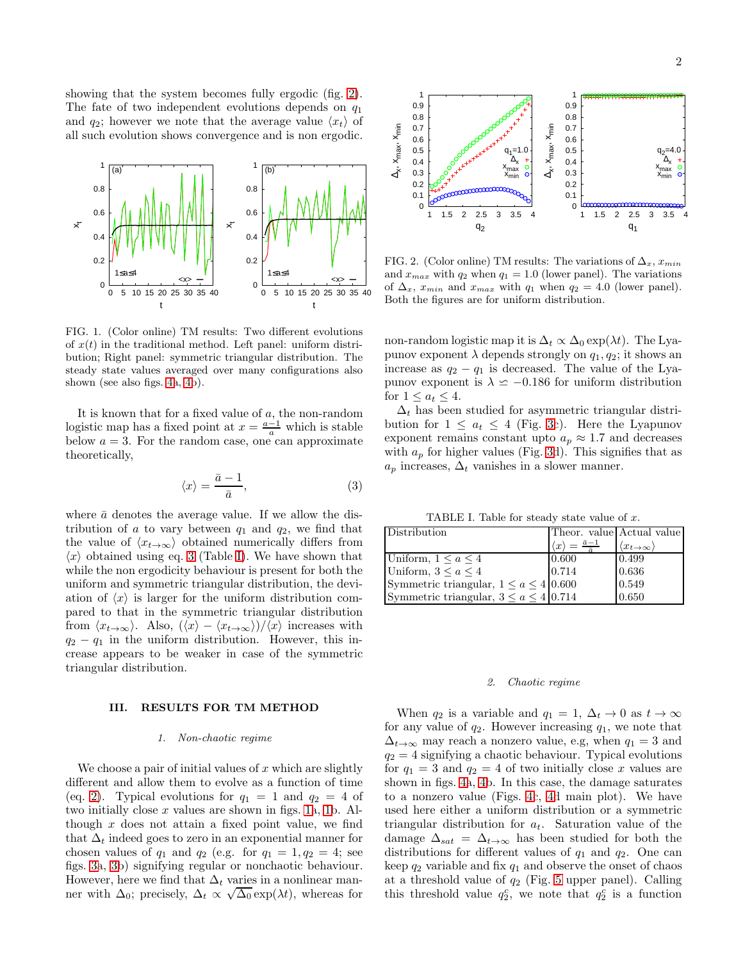showing that the system becomes fully ergodic (fig. [2\)](#page-1-0). The fate of two independent evolutions depends on  $q_1$ and  $q_2$ ; however we note that the average value  $\langle x_t \rangle$  of all such evolution shows convergence and is non ergodic.



<span id="page-1-3"></span>FIG. 1. (Color online) TM results: Two different evolutions of  $x(t)$  in the traditional method. Left panel: uniform distribution; Right panel: symmetric triangular distribution. The steady state values averaged over many configurations also shown (see also figs. [4a](#page-2-0), [4b](#page-2-0)).

It is known that for a fixed value of  $a$ , the non-random logistic map has a fixed point at  $x = \frac{a-1}{a}$  which is stable below  $a = 3$ . For the random case, one can approximate theoretically,

<span id="page-1-1"></span>
$$
\langle x \rangle = \frac{\bar{a} - 1}{\bar{a}},\tag{3}
$$

where  $\bar{a}$  denotes the average value. If we allow the distribution of a to vary between  $q_1$  and  $q_2$ , we find that the value of  $\langle x_t,\rangle$  obtained numerically differs from  $\langle x \rangle$  obtained using eq. [3](#page-1-1) (Table [I\)](#page-1-2). We have shown that while the non ergodicity behaviour is present for both the uniform and symmetric triangular distribution, the deviation of  $\langle x \rangle$  is larger for the uniform distribution compared to that in the symmetric triangular distribution from  $\langle x_{t\to\infty}\rangle$ . Also,  $(\langle x \rangle - \langle x_{t\to\infty}\rangle)/\langle x \rangle$  increases with  $q_2 - q_1$  in the uniform distribution. However, this increase appears to be weaker in case of the symmetric triangular distribution.

## III. RESULTS FOR TM METHOD

#### *1. Non-chaotic regime*

We choose a pair of initial values of  $x$  which are slightly different and allow them to evolve as a function of time (eq. [2\)](#page-0-0). Typical evolutions for  $q_1 = 1$  and  $q_2 = 4$  of two initially close x values are shown in figs. [1a](#page-1-3), [1b](#page-1-3). Although  $x$  does not attain a fixed point value, we find that  $\Delta_t$  indeed goes to zero in an exponential manner for chosen values of  $q_1$  and  $q_2$  (e.g. for  $q_1 = 1, q_2 = 4$ ; see figs. [3a](#page-2-1), [3b](#page-2-1)) signifying regular or nonchaotic behaviour. However, here we find that  $\Delta_t$  varies in a nonlinear manner with  $\Delta_0$ ; precisely,  $\Delta_t \propto \sqrt{\Delta_0} \exp(\lambda t)$ , whereas for



<span id="page-1-0"></span>FIG. 2. (Color online) TM results: The variations of  $\Delta_x$ ,  $x_{min}$ and  $x_{max}$  with  $q_2$  when  $q_1 = 1.0$  (lower panel). The variations of  $\Delta_x$ ,  $x_{min}$  and  $x_{max}$  with  $q_1$  when  $q_2 = 4.0$  (lower panel). Both the figures are for uniform distribution.

non-random logistic map it is  $\Delta_t \propto \Delta_0 \exp(\lambda t)$ . The Lyapunov exponent  $\lambda$  depends strongly on  $q_1, q_2$ ; it shows an increase as  $q_2 - q_1$  is decreased. The value of the Lyapunov exponent is  $\lambda \approx -0.186$  for uniform distribution for  $1 \leq a_t \leq 4$ .

 $\Delta_t$  has been studied for asymmetric triangular distribution for  $1 \leq a_t \leq 4$  (Fig. [3c](#page-2-1)). Here the Lyapunov exponent remains constant upto  $a_p \approx 1.7$  and decreases with  $a_p$  for higher values (Fig. [3d](#page-2-1)). This signifies that as  $a_p$  increases,  $\Delta_t$  vanishes in a slower manner.

<span id="page-1-2"></span>TABLE I. Table for steady state value of x.

| Distribution                                  | Theor. value Actual value                       |                                 |
|-----------------------------------------------|-------------------------------------------------|---------------------------------|
|                                               | $\langle x \rangle = \frac{\bar{a}-1}{\bar{a}}$ | $\langle x_{t\to\infty}\rangle$ |
| Uniform, $1 \le a \le 4$                      | 0.600                                           | 0.499                           |
| Uniform, $3 \le a \le 4$                      | 0.714                                           | 0.636                           |
| Symmetric triangular, $1 \le a \le 4$ 0.600   |                                                 | 0.549                           |
| Symmetric triangular, $3 \le a \le 4$ [0.714] |                                                 | 0.650                           |

#### *2. Chaotic regime*

When  $q_2$  is a variable and  $q_1 = 1$ ,  $\Delta_t \to 0$  as  $t \to \infty$ for any value of  $q_2$ . However increasing  $q_1$ , we note that  $\Delta_{t\to\infty}$  may reach a nonzero value, e.g, when  $q_1 = 3$  and  $q_2 = 4$  signifying a chaotic behaviour. Typical evolutions for  $q_1 = 3$  and  $q_2 = 4$  of two initially close x values are shown in figs. [4a](#page-2-0), [4b](#page-2-0). In this case, the damage saturates to a nonzero value (Figs. [4c](#page-2-0), [4d](#page-2-0) main plot). We have used here either a uniform distribution or a symmetric triangular distribution for  $a_t$ . Saturation value of the damage  $\Delta_{sat} = \Delta_{t\to\infty}$  has been studied for both the distributions for different values of  $q_1$  and  $q_2$ . One can keep  $q_2$  variable and fix  $q_1$  and observe the onset of chaos at a threshold value of  $q_2$  (Fig. [5](#page-3-0) upper panel). Calling this threshold value  $q_2^c$ , we note that  $q_2^c$  is a function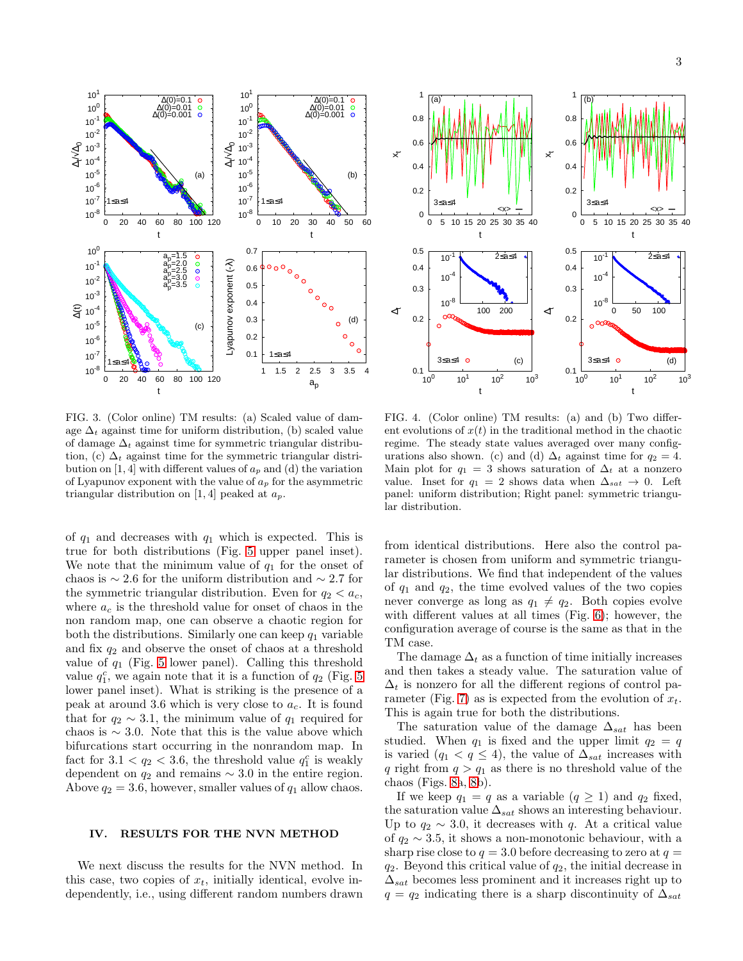



<span id="page-2-1"></span>FIG. 3. (Color online) TM results: (a) Scaled value of damage  $\Delta_t$  against time for uniform distribution, (b) scaled value of damage  $\Delta_t$  against time for symmetric triangular distribution, (c)  $\Delta_t$  against time for the symmetric triangular distribution on [1, 4] with different values of  $a_p$  and (d) the variation of Lyapunov exponent with the value of  $a_p$  for the asymmetric triangular distribution on [1, 4] peaked at  $a_p$ .

of  $q_1$  and decreases with  $q_1$  which is expected. This is true for both distributions (Fig. [5](#page-3-0) upper panel inset). We note that the minimum value of  $q_1$  for the onset of chaos is  $\sim$  2.6 for the uniform distribution and  $\sim$  2.7 for the symmetric triangular distribution. Even for  $q_2 < a_c$ , where  $a_c$  is the threshold value for onset of chaos in the non random map, one can observe a chaotic region for both the distributions. Similarly one can keep  $q_1$  variable and fix  $q_2$  and observe the onset of chaos at a threshold value of  $q_1$  (Fig. [5](#page-3-0) lower panel). Calling this threshold value  $q_1^c$ , we again note that it is a function of  $q_2$  (Fig. [5](#page-3-0)) lower panel inset). What is striking is the presence of a peak at around 3.6 which is very close to  $a_c$ . It is found that for  $q_2 \sim 3.1$ , the minimum value of  $q_1$  required for chaos is  $\sim$  3.0. Note that this is the value above which bifurcations start occurring in the nonrandom map. In fact for  $3.1 < q_2 < 3.6$ , the threshold value  $q_1^c$  is weakly dependent on  $q_2$  and remains  $\sim 3.0$  in the entire region. Above  $q_2 = 3.6$ , however, smaller values of  $q_1$  allow chaos.

## IV. RESULTS FOR THE NVN METHOD

We next discuss the results for the NVN method. In this case, two copies of  $x_t$ , initially identical, evolve independently, i.e., using different random numbers drawn

<span id="page-2-0"></span>FIG. 4. (Color online) TM results: (a) and (b) Two different evolutions of  $x(t)$  in the traditional method in the chaotic regime. The steady state values averaged over many configurations also shown. (c) and (d)  $\Delta_t$  against time for  $q_2 = 4$ . Main plot for  $q_1 = 3$  shows saturation of  $\Delta_t$  at a nonzero value. Inset for  $q_1 = 2$  shows data when  $\Delta_{sat} \rightarrow 0$ . Left panel: uniform distribution; Right panel: symmetric triangular distribution.

from identical distributions. Here also the control parameter is chosen from uniform and symmetric triangular distributions. We find that independent of the values of  $q_1$  and  $q_2$ , the time evolved values of the two copies never converge as long as  $q_1 \neq q_2$ . Both copies evolve with different values at all times (Fig. [6\)](#page-3-1); however, the configuration average of course is the same as that in the TM case.

The damage  $\Delta_t$  as a function of time initially increases and then takes a steady value. The saturation value of  $\Delta_t$  is nonzero for all the different regions of control pa-rameter (Fig. [7\)](#page-3-2) as is expected from the evolution of  $x_t$ . This is again true for both the distributions.

The saturation value of the damage  $\Delta_{sat}$  has been studied. When  $q_1$  is fixed and the upper limit  $q_2 = q$ is varied  $(q_1 < q \leq 4)$ , the value of  $\Delta_{sat}$  increases with q right from  $q > q_1$  as there is no threshold value of the chaos (Figs. [8a](#page-4-10), [8b](#page-4-10)).

If we keep  $q_1 = q$  as a variable  $(q \ge 1)$  and  $q_2$  fixed, the saturation value  $\Delta_{sat}$  shows an interesting behaviour. Up to  $q_2 \sim 3.0$ , it decreases with q. At a critical value of  $q_2 \sim 3.5$ , it shows a non-monotonic behaviour, with a sharp rise close to  $q = 3.0$  before decreasing to zero at  $q =$  $q_2$ . Beyond this critical value of  $q_2$ , the initial decrease in  $\Delta_{sat}$  becomes less prominent and it increases right up to  $q = q_2$  indicating there is a sharp discontinuity of  $\Delta_{sat}$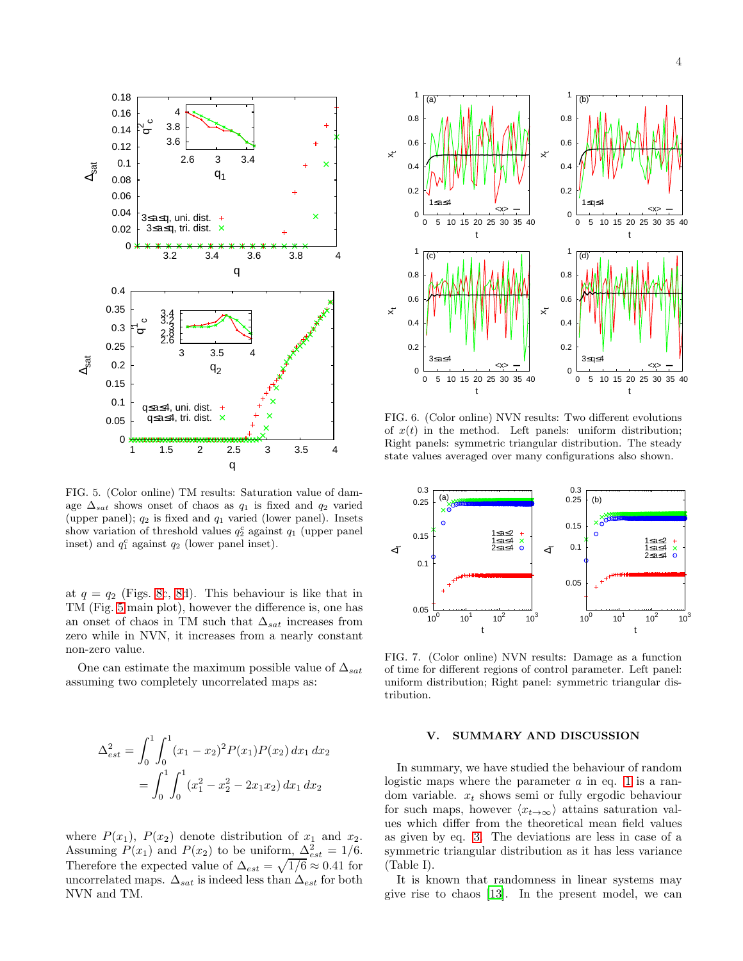

<span id="page-3-0"></span>FIG. 5. (Color online) TM results: Saturation value of damage  $\Delta_{sat}$  shows onset of chaos as  $q_1$  is fixed and  $q_2$  varied (upper panel);  $q_2$  is fixed and  $q_1$  varied (lower panel). Insets show variation of threshold values  $q_2^c$  against  $q_1$  (upper panel inset) and  $q_1^c$  against  $q_2$  (lower panel inset).

at  $q = q_2$  (Figs. [8c](#page-4-10), [8d](#page-4-10)). This behaviour is like that in TM (Fig. [5](#page-3-0) main plot), however the difference is, one has an onset of chaos in TM such that  $\Delta_{sat}$  increases from zero while in NVN, it increases from a nearly constant non-zero value.

One can estimate the maximum possible value of  $\Delta_{sat}$ assuming two completely uncorrelated maps as:

$$
\Delta_{est}^2 = \int_0^1 \int_0^1 (x_1 - x_2)^2 P(x_1) P(x_2) dx_1 dx_2
$$

$$
= \int_0^1 \int_0^1 (x_1^2 - x_2^2 - 2x_1 x_2) dx_1 dx_2
$$

where  $P(x_1)$ ,  $P(x_2)$  denote distribution of  $x_1$  and  $x_2$ . Assuming  $P(x_1)$  and  $P(x_2)$  to be uniform,  $\Delta_{est}^2 = 1/6$ . Therefore the expected value of  $\Delta_{est} = \sqrt{1/6} \approx 0.41$  for uncorrelated maps.  $\Delta_{sat}$  is indeed less than  $\Delta_{est}$  for both NVN and TM.



<span id="page-3-1"></span>FIG. 6. (Color online) NVN results: Two different evolutions of  $x(t)$  in the method. Left panels: uniform distribution; Right panels: symmetric triangular distribution. The steady state values averaged over many configurations also shown.



<span id="page-3-2"></span>FIG. 7. (Color online) NVN results: Damage as a function of time for different regions of control parameter. Left panel: uniform distribution; Right panel: symmetric triangular distribution.

# V. SUMMARY AND DISCUSSION

In summary, we have studied the behaviour of random logistic maps where the parameter  $a$  in eq. [1](#page-0-1) is a random variable.  $x_t$  shows semi or fully ergodic behaviour for such maps, however  $\langle x_{t\to\infty} \rangle$  attains saturation values which differ from the theoretical mean field values as given by eq. [3.](#page-1-1) The deviations are less in case of a symmetric triangular distribution as it has less variance (Table I).

It is known that randomness in linear systems may give rise to chaos [\[13\]](#page-4-11). In the present model, we can